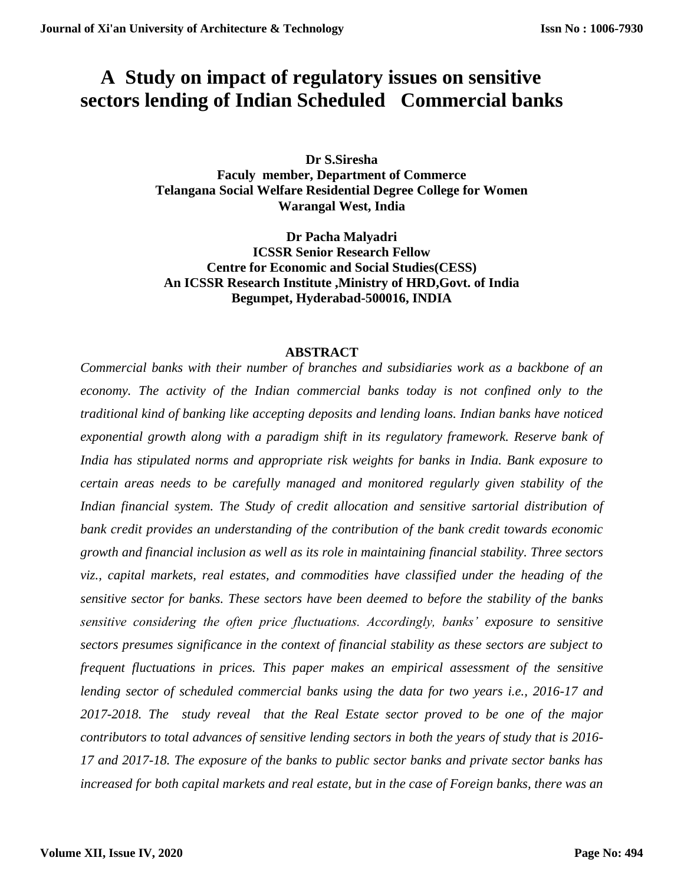# **A Study on impact of regulatory issues on sensitive sectors lending of Indian Scheduled Commercial banks**

**Dr S.Siresha Faculy member, Department of Commerce Telangana Social Welfare Residential Degree College for Women Warangal West, India**

**Dr Pacha Malyadri ICSSR Senior Research Fellow Centre for Economic and Social Studies(CESS) An ICSSR Research Institute ,Ministry of HRD,Govt. of India Begumpet, Hyderabad-500016, INDIA**

## **ABSTRACT**

*Commercial banks with their number of branches and subsidiaries work as a backbone of an economy. The activity of the Indian commercial banks today is not confined only to the traditional kind of banking like accepting deposits and lending loans. Indian banks have noticed exponential growth along with a paradigm shift in its regulatory framework. Reserve bank of India has stipulated norms and appropriate risk weights for banks in India. Bank exposure to certain areas needs to be carefully managed and monitored regularly given stability of the Indian financial system. The Study of credit allocation and sensitive sartorial distribution of bank credit provides an understanding of the contribution of the bank credit towards economic growth and financial inclusion as well as its role in maintaining financial stability. Three sectors viz., capital markets, real estates, and commodities have classified under the heading of the sensitive sector for banks. These sectors have been deemed to before the stability of the banks sensitive considering the often price fluctuations. Accordingly, banks' exposure to sensitive sectors presumes significance in the context of financial stability as these sectors are subject to frequent fluctuations in prices. This paper makes an empirical assessment of the sensitive lending sector of scheduled commercial banks using the data for two years i.e., 2016-17 and 2017-2018. The study reveal that the Real Estate sector proved to be one of the major contributors to total advances of sensitive lending sectors in both the years of study that is 2016- 17 and 2017-18. The exposure of the banks to public sector banks and private sector banks has increased for both capital markets and real estate, but in the case of Foreign banks, there was an*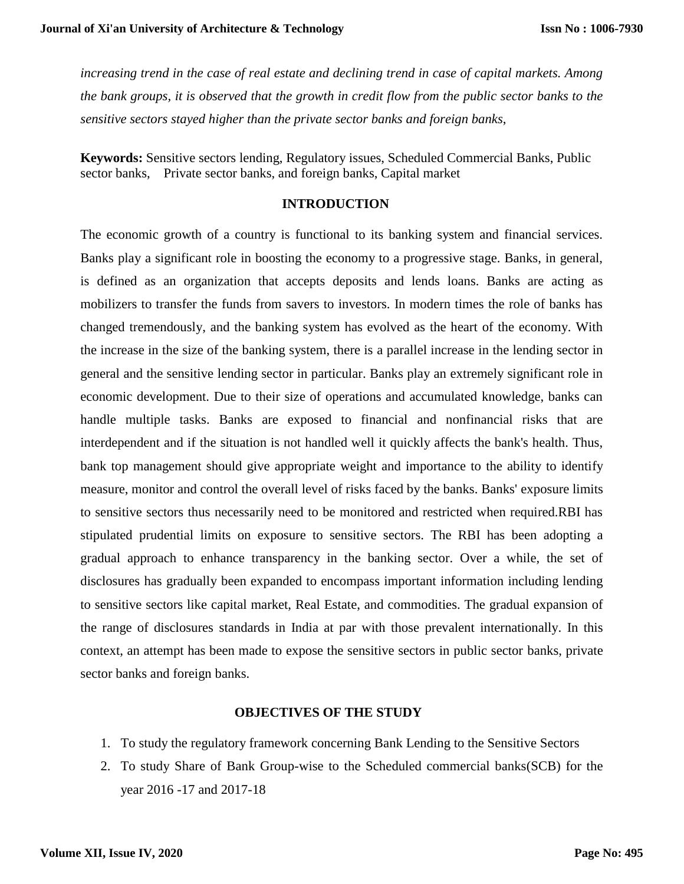*increasing trend in the case of real estate and declining trend in case of capital markets. Among the bank groups, it is observed that the growth in credit flow from the public sector banks to the sensitive sectors stayed higher than the private sector banks and foreign banks*,

**Keywords:** Sensitive sectors lending, Regulatory issues, Scheduled Commercial Banks, Public sector banks, Private sector banks, and foreign banks, Capital market

## **INTRODUCTION**

The economic growth of a country is functional to its banking system and financial services. Banks play a significant role in boosting the economy to a progressive stage. Banks, in general, is defined as an organization that accepts deposits and lends loans. Banks are acting as mobilizers to transfer the funds from savers to investors. In modern times the role of banks has changed tremendously, and the banking system has evolved as the heart of the economy. With the increase in the size of the banking system, there is a parallel increase in the lending sector in general and the sensitive lending sector in particular. Banks play an extremely significant role in economic development. Due to their size of operations and accumulated knowledge, banks can handle multiple tasks. Banks are exposed to financial and nonfinancial risks that are interdependent and if the situation is not handled well it quickly affects the bank's health. Thus, bank top management should give appropriate weight and importance to the ability to identify measure, monitor and control the overall level of risks faced by the banks. Banks' exposure limits to sensitive sectors thus necessarily need to be monitored and restricted when required.RBI has stipulated prudential limits on exposure to sensitive sectors. The RBI has been adopting a gradual approach to enhance transparency in the banking sector. Over a while, the set of disclosures has gradually been expanded to encompass important information including lending to sensitive sectors like capital market, Real Estate, and commodities. The gradual expansion of the range of disclosures standards in India at par with those prevalent internationally. In this context, an attempt has been made to expose the sensitive sectors in public sector banks, private sector banks and foreign banks.

## **OBJECTIVES OF THE STUDY**

- 1. To study the regulatory framework concerning Bank Lending to the Sensitive Sectors
- 2. To study Share of Bank Group-wise to the Scheduled commercial banks(SCB) for the year 2016 -17 and 2017-18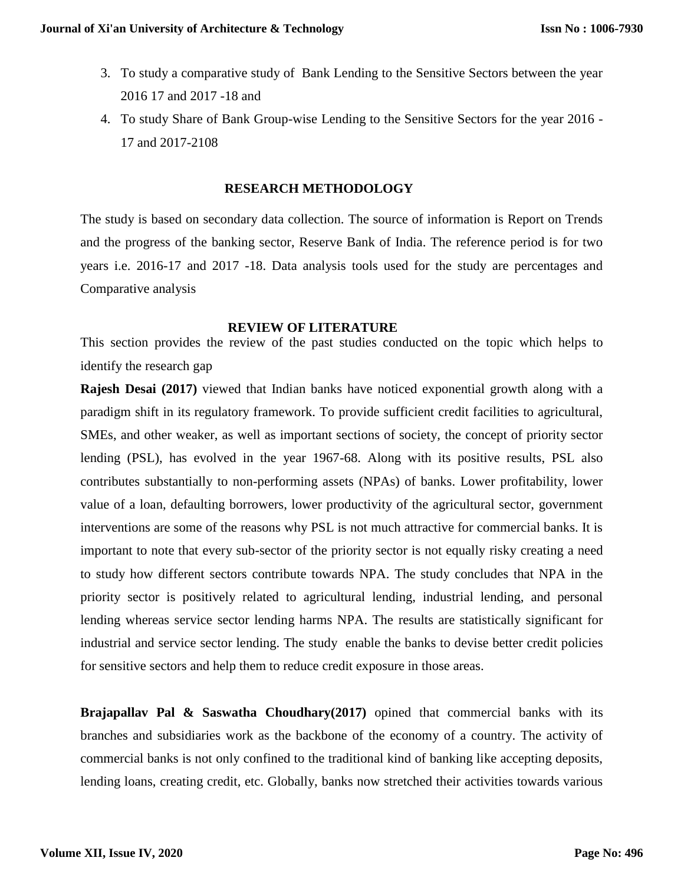- 3. To study a comparative study of Bank Lending to the Sensitive Sectors between the year 2016 17 and 2017 -18 and
- 4. To study Share of Bank Group-wise Lending to the Sensitive Sectors for the year 2016 17 and 2017-2108

## **RESEARCH METHODOLOGY**

The study is based on secondary data collection. The source of information is Report on Trends and the progress of the banking sector, Reserve Bank of India. The reference period is for two years i.e. 2016-17 and 2017 -18. Data analysis tools used for the study are percentages and Comparative analysis

#### **REVIEW OF LITERATURE**

This section provides the review of the past studies conducted on the topic which helps to identify the research gap

**Rajesh Desai (2017)** viewed that Indian banks have noticed exponential growth along with a paradigm shift in its regulatory framework. To provide sufficient credit facilities to agricultural, SMEs, and other weaker, as well as important sections of society, the concept of priority sector lending (PSL), has evolved in the year 1967-68. Along with its positive results, PSL also contributes substantially to non-performing assets (NPAs) of banks. Lower profitability, lower value of a loan, defaulting borrowers, lower productivity of the agricultural sector, government interventions are some of the reasons why PSL is not much attractive for commercial banks. It is important to note that every sub-sector of the priority sector is not equally risky creating a need to study how different sectors contribute towards NPA. The study concludes that NPA in the priority sector is positively related to agricultural lending, industrial lending, and personal lending whereas service sector lending harms NPA. The results are statistically significant for industrial and service sector lending. The study enable the banks to devise better credit policies for sensitive sectors and help them to reduce credit exposure in those areas.

**Brajapallav Pal & Saswatha Choudhary(2017)** opined that commercial banks with its branches and subsidiaries work as the backbone of the economy of a country. The activity of commercial banks is not only confined to the traditional kind of banking like accepting deposits, lending loans, creating credit, etc. Globally, banks now stretched their activities towards various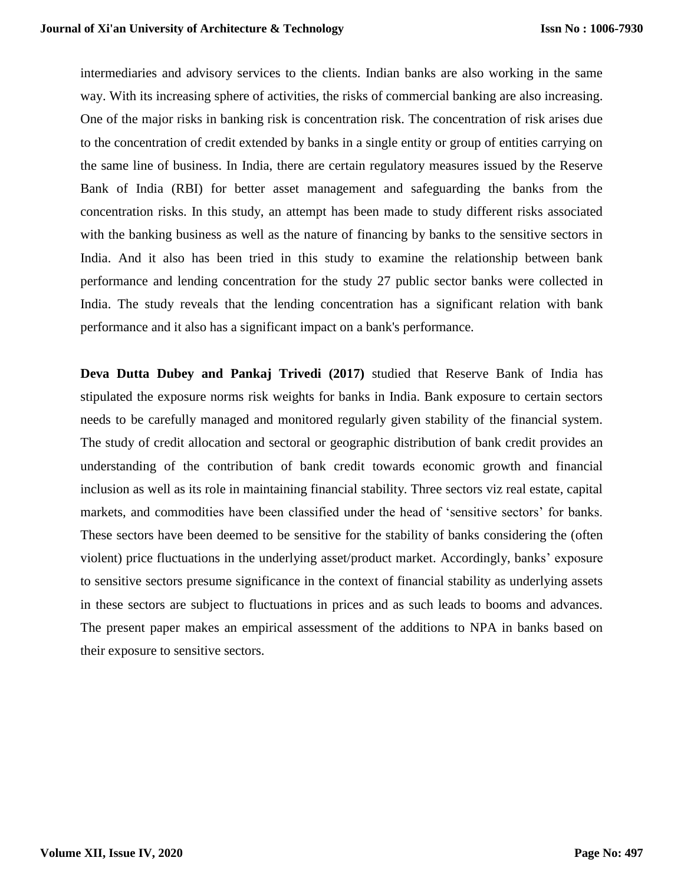intermediaries and advisory services to the clients. Indian banks are also working in the same way. With its increasing sphere of activities, the risks of commercial banking are also increasing. One of the major risks in banking risk is concentration risk. The concentration of risk arises due to the concentration of credit extended by banks in a single entity or group of entities carrying on the same line of business. In India, there are certain regulatory measures issued by the Reserve Bank of India (RBI) for better asset management and safeguarding the banks from the concentration risks. In this study, an attempt has been made to study different risks associated with the banking business as well as the nature of financing by banks to the sensitive sectors in India. And it also has been tried in this study to examine the relationship between bank performance and lending concentration for the study 27 public sector banks were collected in India. The study reveals that the lending concentration has a significant relation with bank performance and it also has a significant impact on a bank's performance.

**Deva Dutta Dubey and Pankaj Trivedi (2017)** studied that Reserve Bank of India has stipulated the exposure norms risk weights for banks in India. Bank exposure to certain sectors needs to be carefully managed and monitored regularly given stability of the financial system. The study of credit allocation and sectoral or geographic distribution of bank credit provides an understanding of the contribution of bank credit towards economic growth and financial inclusion as well as its role in maintaining financial stability. Three sectors viz real estate, capital markets, and commodities have been classified under the head of 'sensitive sectors' for banks. These sectors have been deemed to be sensitive for the stability of banks considering the (often violent) price fluctuations in the underlying asset/product market. Accordingly, banks' exposure to sensitive sectors presume significance in the context of financial stability as underlying assets in these sectors are subject to fluctuations in prices and as such leads to booms and advances. The present paper makes an empirical assessment of the additions to NPA in banks based on their exposure to sensitive sectors.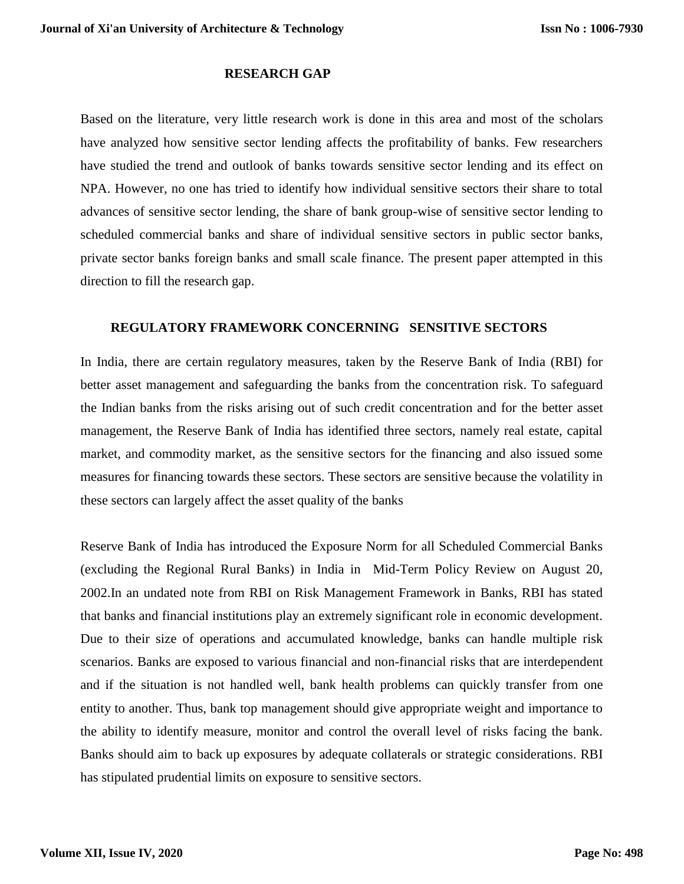## **RESEARCH GAP**

Based on the literature, very little research work is done in this area and most of the scholars have analyzed how sensitive sector lending affects the profitability of banks. Few researchers have studied the trend and outlook of banks towards sensitive sector lending and its effect on NPA. However, no one has tried to identify how individual sensitive sectors their share to total advances of sensitive sector lending, the share of bank group-wise of sensitive sector lending to scheduled commercial banks and share of individual sensitive sectors in public sector banks, private sector banks foreign banks and small scale finance. The present paper attempted in this direction to fill the research gap.

## **REGULATORY FRAMEWORK CONCERNING SENSITIVE SECTORS**

In India, there are certain regulatory measures, taken by the Reserve Bank of India (RBI) for better asset management and safeguarding the banks from the concentration risk. To safeguard the Indian banks from the risks arising out of such credit concentration and for the better asset management, the Reserve Bank of India has identified three sectors, namely real estate, capital market, and commodity market, as the sensitive sectors for the financing and also issued some measures for financing towards these sectors. These sectors are sensitive because the volatility in these sectors can largely affect the asset quality of the banks

Reserve Bank of India has introduced the Exposure Norm for all Scheduled Commercial Banks (excluding the Regional Rural Banks) in India in Mid-Term Policy Review on August 20, 2002.In an undated note from RBI on Risk Management Framework in Banks, RBI has stated that banks and financial institutions play an extremely significant role in economic development. Due to their size of operations and accumulated knowledge, banks can handle multiple risk scenarios. Banks are exposed to various financial and non-financial risks that are interdependent and if the situation is not handled well, bank health problems can quickly transfer from one entity to another. Thus, bank top management should give appropriate weight and importance to the ability to identify measure, monitor and control the overall level of risks facing the bank. Banks should aim to back up exposures by adequate collaterals or strategic considerations. RBI has stipulated prudential limits on exposure to sensitive sectors.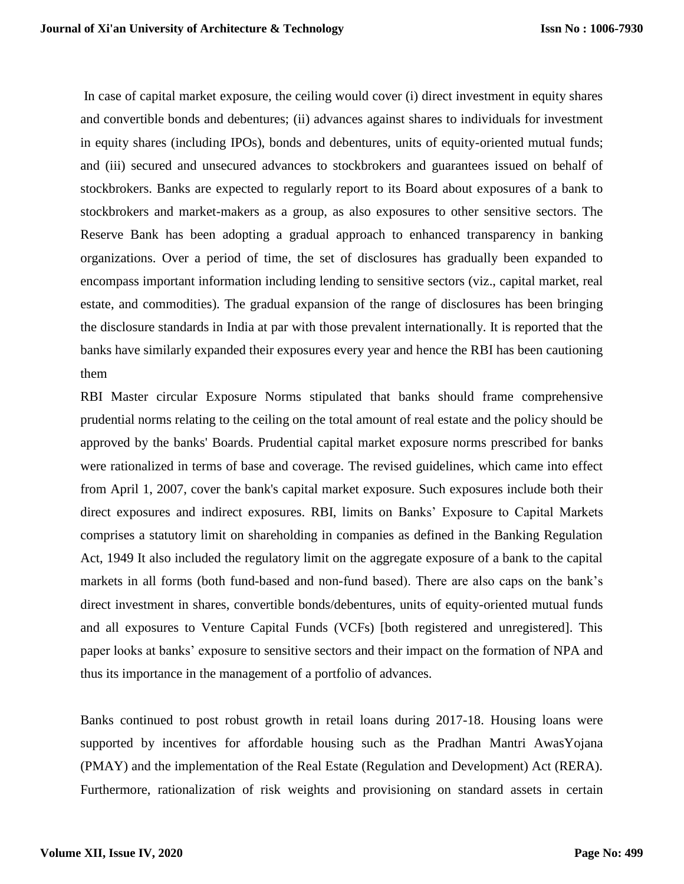In case of capital market exposure, the ceiling would cover (i) direct investment in equity shares and convertible bonds and debentures; (ii) advances against shares to individuals for investment in equity shares (including IPOs), bonds and debentures, units of equity-oriented mutual funds; and (iii) secured and unsecured advances to stockbrokers and guarantees issued on behalf of stockbrokers. Banks are expected to regularly report to its Board about exposures of a bank to stockbrokers and market-makers as a group, as also exposures to other sensitive sectors. The Reserve Bank has been adopting a gradual approach to enhanced transparency in banking organizations. Over a period of time, the set of disclosures has gradually been expanded to encompass important information including lending to sensitive sectors (viz., capital market, real estate, and commodities). The gradual expansion of the range of disclosures has been bringing the disclosure standards in India at par with those prevalent internationally. It is reported that the banks have similarly expanded their exposures every year and hence the RBI has been cautioning them

RBI Master circular Exposure Norms stipulated that banks should frame comprehensive prudential norms relating to the ceiling on the total amount of real estate and the policy should be approved by the banks' Boards. Prudential capital market exposure norms prescribed for banks were rationalized in terms of base and coverage. The revised guidelines, which came into effect from April 1, 2007, cover the bank's capital market exposure. Such exposures include both their direct exposures and indirect exposures. RBI, limits on Banks' Exposure to Capital Markets comprises a statutory limit on shareholding in companies as defined in the Banking Regulation Act, 1949 It also included the regulatory limit on the aggregate exposure of a bank to the capital markets in all forms (both fund-based and non-fund based). There are also caps on the bank's direct investment in shares, convertible bonds/debentures, units of equity-oriented mutual funds and all exposures to Venture Capital Funds (VCFs) [both registered and unregistered]. This paper looks at banks' exposure to sensitive sectors and their impact on the formation of NPA and thus its importance in the management of a portfolio of advances.

Banks continued to post robust growth in retail loans during 2017-18. Housing loans were supported by incentives for affordable housing such as the Pradhan Mantri AwasYojana (PMAY) and the implementation of the Real Estate (Regulation and Development) Act (RERA). Furthermore, rationalization of risk weights and provisioning on standard assets in certain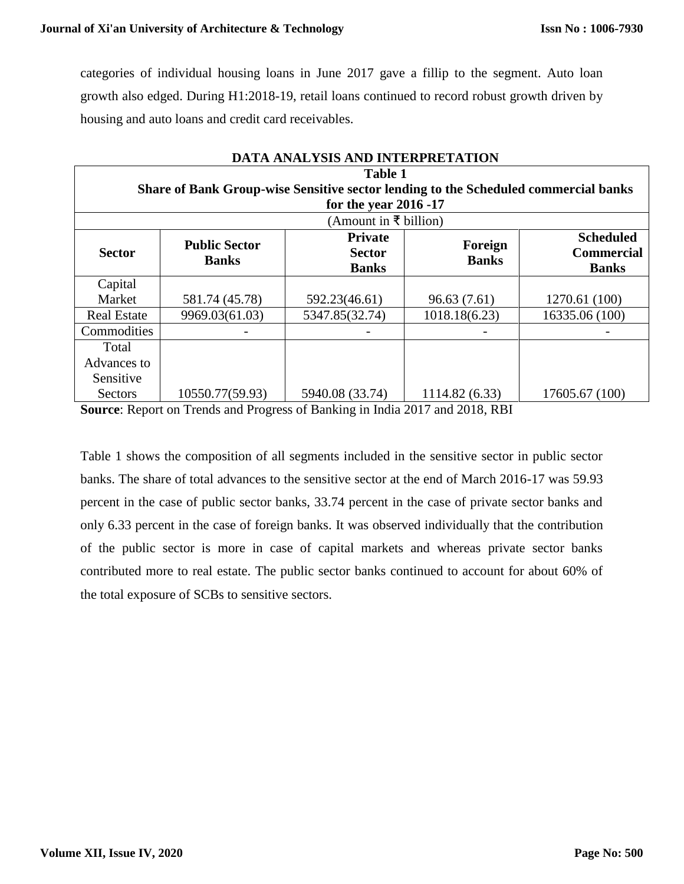categories of individual housing loans in June 2017 gave a fillip to the segment. Auto loan growth also edged. During H1:2018-19, retail loans continued to record robust growth driven by housing and auto loans and credit card receivables.

| DATA ANALYSIS AND INTERPRETATION                                                                                               |                                      |                                                 |                         |                                                       |  |  |  |
|--------------------------------------------------------------------------------------------------------------------------------|--------------------------------------|-------------------------------------------------|-------------------------|-------------------------------------------------------|--|--|--|
| <b>Table 1</b><br>Share of Bank Group-wise Sensitive sector lending to the Scheduled commercial banks<br>for the year 2016 -17 |                                      |                                                 |                         |                                                       |  |  |  |
|                                                                                                                                |                                      | (Amount in ₹ billion)                           |                         |                                                       |  |  |  |
| <b>Sector</b>                                                                                                                  | <b>Public Sector</b><br><b>Banks</b> | <b>Private</b><br><b>Sector</b><br><b>Banks</b> | Foreign<br><b>Banks</b> | <b>Scheduled</b><br><b>Commercial</b><br><b>Banks</b> |  |  |  |
| Capital                                                                                                                        |                                      |                                                 |                         |                                                       |  |  |  |
| Market                                                                                                                         | 581.74 (45.78)                       | 592.23(46.61)                                   | 96.63(7.61)             | 1270.61 (100)                                         |  |  |  |
| <b>Real Estate</b>                                                                                                             | 9969.03(61.03)                       | 5347.85(32.74)                                  | 1018.18(6.23)           | 16335.06 (100)                                        |  |  |  |
| Commodities                                                                                                                    |                                      |                                                 |                         |                                                       |  |  |  |
| Total                                                                                                                          |                                      |                                                 |                         |                                                       |  |  |  |
| Advances to                                                                                                                    |                                      |                                                 |                         |                                                       |  |  |  |
| Sensitive                                                                                                                      |                                      |                                                 |                         |                                                       |  |  |  |
| Sectors                                                                                                                        | 10550.77(59.93)                      | 5940.08 (33.74)                                 | 1114.82 (6.33)          | 17605.67 (100)                                        |  |  |  |

**Source**: Report on Trends and Progress of Banking in India 2017 and 2018, RBI

Table 1 shows the composition of all segments included in the sensitive sector in public sector banks. The share of total advances to the sensitive sector at the end of March 2016-17 was 59.93 percent in the case of public sector banks, 33.74 percent in the case of private sector banks and only 6.33 percent in the case of foreign banks. It was observed individually that the contribution of the public sector is more in case of capital markets and whereas private sector banks contributed more to real estate. The public sector banks continued to account for about 60% of the total exposure of SCBs to sensitive sectors.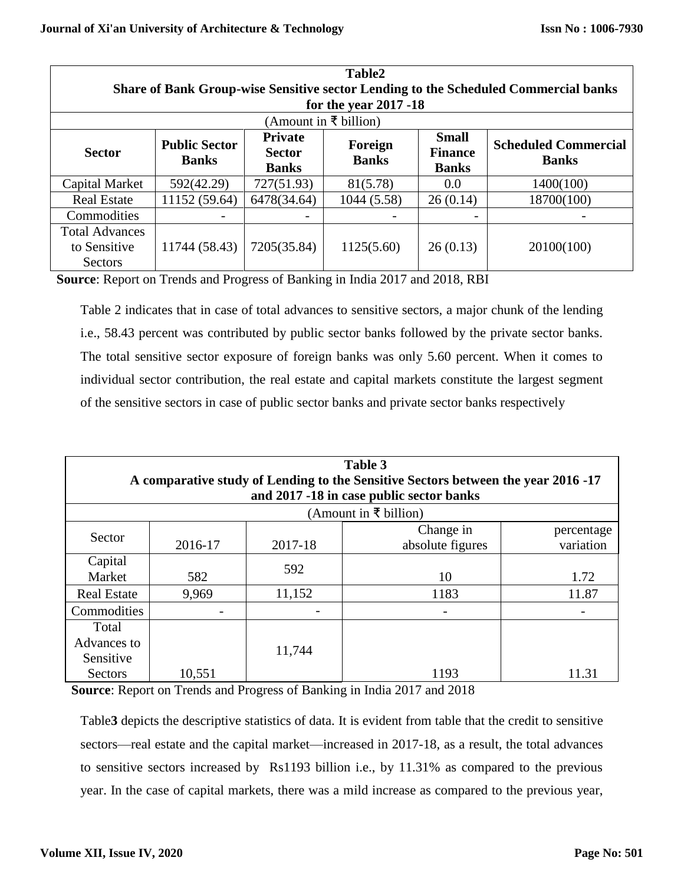| Table2<br>Share of Bank Group-wise Sensitive sector Lending to the Scheduled Commercial banks<br>for the year 2017 -18 |                                      |                                                 |                         |                                                |                                             |  |
|------------------------------------------------------------------------------------------------------------------------|--------------------------------------|-------------------------------------------------|-------------------------|------------------------------------------------|---------------------------------------------|--|
|                                                                                                                        |                                      |                                                 | (Amount in ₹ billion)   |                                                |                                             |  |
| <b>Sector</b>                                                                                                          | <b>Public Sector</b><br><b>Banks</b> | <b>Private</b><br><b>Sector</b><br><b>Banks</b> | Foreign<br><b>Banks</b> | <b>Small</b><br><b>Finance</b><br><b>Banks</b> | <b>Scheduled Commercial</b><br><b>Banks</b> |  |
| Capital Market                                                                                                         | 592(42.29)                           | 727(51.93)                                      | 81(5.78)                | 0.0                                            | 1400(100)                                   |  |
| <b>Real Estate</b>                                                                                                     | 11152 (59.64)                        | 6478(34.64)                                     | 1044 (5.58)             | 26(0.14)                                       | 18700(100)                                  |  |
| Commodities                                                                                                            |                                      |                                                 |                         |                                                |                                             |  |
| <b>Total Advances</b><br>to Sensitive<br>Sectors                                                                       | 11744 (58.43)                        | 7205(35.84)                                     | 1125(5.60)              | 26(0.13)                                       | 20100(100)                                  |  |

**Source**: Report on Trends and Progress of Banking in India 2017 and 2018, RBI

Table 2 indicates that in case of total advances to sensitive sectors, a major chunk of the lending i.e., 58.43 percent was contributed by public sector banks followed by the private sector banks. The total sensitive sector exposure of foreign banks was only 5.60 percent. When it comes to individual sector contribution, the real estate and capital markets constitute the largest segment of the sensitive sectors in case of public sector banks and private sector banks respectively

| Table 3<br>A comparative study of Lending to the Sensitive Sectors between the year 2016 -17 |         |         |                                          |            |  |  |
|----------------------------------------------------------------------------------------------|---------|---------|------------------------------------------|------------|--|--|
|                                                                                              |         |         | and 2017 -18 in case public sector banks |            |  |  |
|                                                                                              |         |         | (Amount in ₹ billion)                    |            |  |  |
| Sector                                                                                       |         |         | Change in                                | percentage |  |  |
|                                                                                              | 2016-17 | 2017-18 | absolute figures                         | variation  |  |  |
| Capital                                                                                      |         | 592     |                                          |            |  |  |
| Market                                                                                       | 582     |         | 10                                       | 1.72       |  |  |
| <b>Real Estate</b>                                                                           | 9,969   | 11,152  | 1183                                     | 11.87      |  |  |
| Commodities                                                                                  |         |         |                                          |            |  |  |
| Total                                                                                        |         |         |                                          |            |  |  |
| Advances to                                                                                  |         | 11,744  |                                          |            |  |  |
| Sensitive                                                                                    |         |         |                                          |            |  |  |
| Sectors                                                                                      | 10,551  |         | 1193                                     | 11.31      |  |  |

**Source**: Report on Trends and Progress of Banking in India 2017 and 2018

Table**3** depicts the descriptive statistics of data. It is evident from table that the credit to sensitive sectors—real estate and the capital market—increased in 2017-18, as a result, the total advances to sensitive sectors increased by Rs1193 billion i.e., by 11.31% as compared to the previous year. In the case of capital markets, there was a mild increase as compared to the previous year,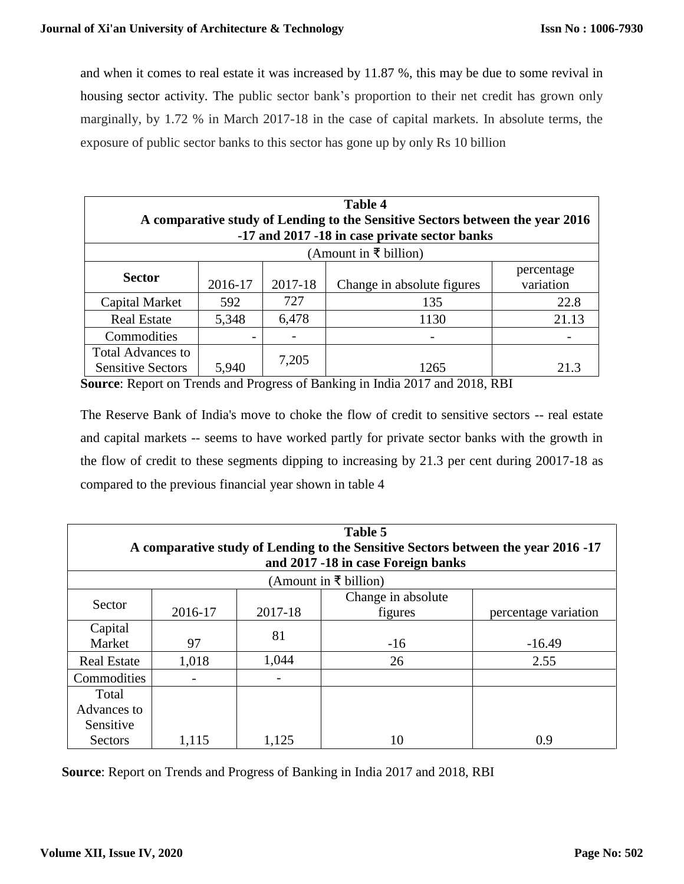and when it comes to real estate it was increased by 11.87 %, this may be due to some revival in housing sector activity. The public sector bank's proportion to their net credit has grown only marginally, by 1.72 % in March 2017-18 in the case of capital markets. In absolute terms, the exposure of public sector banks to this sector has gone up by only Rs 10 billion

| Table 4<br>A comparative study of Lending to the Sensitive Sectors between the year 2016<br>-17 and 2017 -18 in case private sector banks |                       |         |                            |                         |  |  |  |
|-------------------------------------------------------------------------------------------------------------------------------------------|-----------------------|---------|----------------------------|-------------------------|--|--|--|
|                                                                                                                                           | (Amount in ₹ billion) |         |                            |                         |  |  |  |
| <b>Sector</b>                                                                                                                             | 2016-17               | 2017-18 | Change in absolute figures | percentage<br>variation |  |  |  |
| Capital Market                                                                                                                            | 592                   | 727     | 135                        | 22.8                    |  |  |  |
| <b>Real Estate</b>                                                                                                                        | 5,348                 | 6,478   | 1130                       | 21.13                   |  |  |  |
| Commodities                                                                                                                               |                       | -       |                            |                         |  |  |  |
| <b>Total Advances to</b><br><b>Sensitive Sectors</b>                                                                                      | 5,940                 | 7,205   | 1265                       | 21.3                    |  |  |  |

**Source**: Report on Trends and Progress of Banking in India 2017 and 2018, RBI

The Reserve Bank of India's move to choke the flow of credit to sensitive sectors -- real estate and capital markets -- seems to have worked partly for private sector banks with the growth in the flow of credit to these segments dipping to increasing by 21.3 per cent during 20017-18 as compared to the previous financial year shown in table 4

| Table 5<br>A comparative study of Lending to the Sensitive Sectors between the year 2016 -17<br>and 2017 -18 in case Foreign banks<br>(Amount in ₹ billion) |                                                                             |       |       |          |  |  |
|-------------------------------------------------------------------------------------------------------------------------------------------------------------|-----------------------------------------------------------------------------|-------|-------|----------|--|--|
| Sector                                                                                                                                                      | Change in absolute<br>2017-18<br>2016-17<br>percentage variation<br>figures |       |       |          |  |  |
| Capital<br>Market                                                                                                                                           | 97                                                                          | 81    | $-16$ | $-16.49$ |  |  |
| <b>Real Estate</b>                                                                                                                                          | 1,018                                                                       | 1,044 | 26    | 2.55     |  |  |
| Commodities                                                                                                                                                 |                                                                             |       |       |          |  |  |
| Total<br>Advances to<br>Sensitive                                                                                                                           |                                                                             |       |       |          |  |  |
| <b>Sectors</b>                                                                                                                                              | 1,115                                                                       | 1,125 | 10    | 0.9      |  |  |

**Source**: Report on Trends and Progress of Banking in India 2017 and 2018, RBI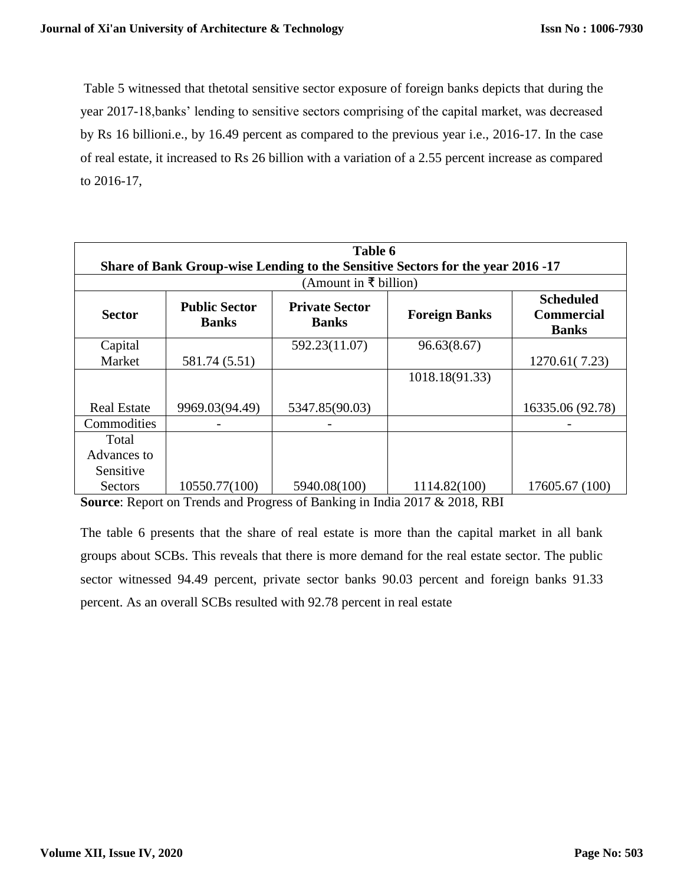Table 5 witnessed that thetotal sensitive sector exposure of foreign banks depicts that during the year 2017-18,banks' lending to sensitive sectors comprising of the capital market, was decreased by Rs 16 billioni.e., by 16.49 percent as compared to the previous year i.e., 2016-17. In the case of real estate, it increased to Rs 26 billion with a variation of a 2.55 percent increase as compared to 2016-17,

| Table 6<br>Share of Bank Group-wise Lending to the Sensitive Sectors for the year 2016 -17 |                                      |                       |                                                       |                  |  |  |
|--------------------------------------------------------------------------------------------|--------------------------------------|-----------------------|-------------------------------------------------------|------------------|--|--|
|                                                                                            |                                      | (Amount in ₹ billion) |                                                       |                  |  |  |
| <b>Sector</b>                                                                              | <b>Public Sector</b><br><b>Banks</b> | <b>Foreign Banks</b>  | <b>Scheduled</b><br><b>Commercial</b><br><b>Banks</b> |                  |  |  |
| Capital                                                                                    |                                      | 592.23(11.07)         | 96.63(8.67)                                           |                  |  |  |
| Market                                                                                     | 581.74 (5.51)                        |                       |                                                       | 1270.61(7.23)    |  |  |
|                                                                                            |                                      |                       | 1018.18(91.33)                                        |                  |  |  |
|                                                                                            |                                      |                       |                                                       |                  |  |  |
| <b>Real Estate</b>                                                                         | 9969.03(94.49)                       | 5347.85(90.03)        |                                                       | 16335.06 (92.78) |  |  |
| Commodities                                                                                |                                      |                       |                                                       |                  |  |  |
| Total                                                                                      |                                      |                       |                                                       |                  |  |  |
| Advances to                                                                                |                                      |                       |                                                       |                  |  |  |
| Sensitive                                                                                  |                                      |                       |                                                       |                  |  |  |
| Sectors                                                                                    | 10550.77(100)                        | 5940.08(100)          | 1114.82(100)                                          | 17605.67 (100)   |  |  |

**Source**: Report on Trends and Progress of Banking in India 2017 & 2018, RBI

The table 6 presents that the share of real estate is more than the capital market in all bank groups about SCBs. This reveals that there is more demand for the real estate sector. The public sector witnessed 94.49 percent, private sector banks 90.03 percent and foreign banks 91.33 percent. As an overall SCBs resulted with 92.78 percent in real estate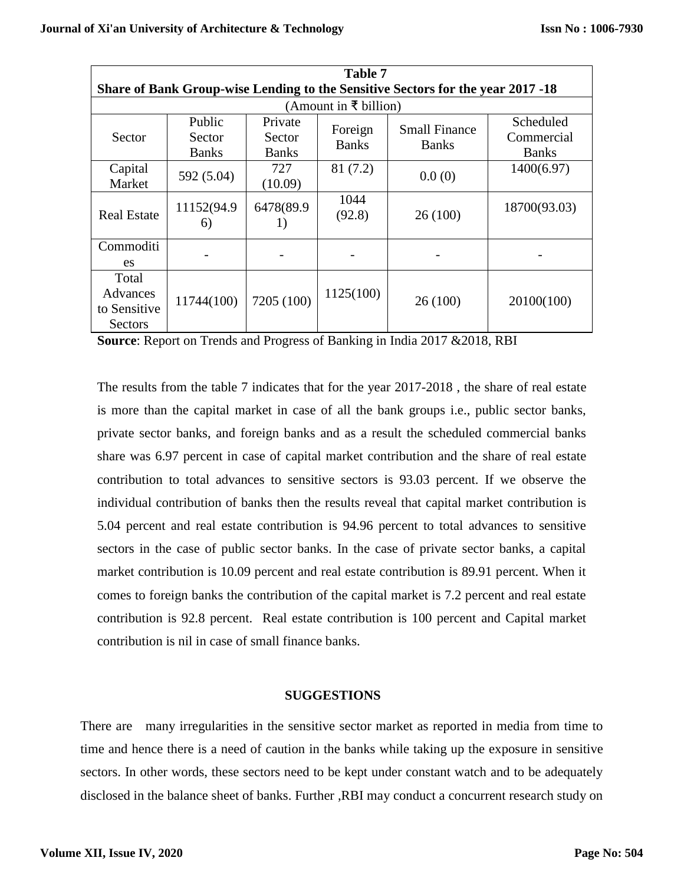| <b>Table 7</b>                                                                  |                                  |                                   |                         |                                      |                                         |  |  |
|---------------------------------------------------------------------------------|----------------------------------|-----------------------------------|-------------------------|--------------------------------------|-----------------------------------------|--|--|
| Share of Bank Group-wise Lending to the Sensitive Sectors for the year 2017 -18 |                                  |                                   |                         |                                      |                                         |  |  |
|                                                                                 |                                  |                                   | (Amount in ₹ billion)   |                                      |                                         |  |  |
| Sector                                                                          | Public<br>Sector<br><b>Banks</b> | Private<br>Sector<br><b>Banks</b> | Foreign<br><b>Banks</b> | <b>Small Finance</b><br><b>Banks</b> | Scheduled<br>Commercial<br><b>Banks</b> |  |  |
| Capital<br>Market                                                               | 592 (5.04)                       | 727<br>(10.09)                    | 81 (7.2)                | 0.0(0)                               | 1400(6.97)                              |  |  |
| <b>Real Estate</b>                                                              | 11152(94.9<br>6)                 | 6478(89.9<br>1)                   | 1044<br>(92.8)          | 26(100)                              | 18700(93.03)                            |  |  |
| Commoditi<br>es                                                                 |                                  |                                   |                         |                                      |                                         |  |  |
| Total<br>Advances<br>to Sensitive<br>Sectors                                    | 11744(100)                       | 7205 (100)                        | 1125(100)               | 26(100)                              | 20100(100)                              |  |  |

**Source**: Report on Trends and Progress of Banking in India 2017 &2018, RBI

The results from the table 7 indicates that for the year 2017-2018 , the share of real estate is more than the capital market in case of all the bank groups i.e., public sector banks, private sector banks, and foreign banks and as a result the scheduled commercial banks share was 6.97 percent in case of capital market contribution and the share of real estate contribution to total advances to sensitive sectors is 93.03 percent. If we observe the individual contribution of banks then the results reveal that capital market contribution is 5.04 percent and real estate contribution is 94.96 percent to total advances to sensitive sectors in the case of public sector banks. In the case of private sector banks, a capital market contribution is 10.09 percent and real estate contribution is 89.91 percent. When it comes to foreign banks the contribution of the capital market is 7.2 percent and real estate contribution is 92.8 percent. Real estate contribution is 100 percent and Capital market contribution is nil in case of small finance banks.

## **SUGGESTIONS**

There are many irregularities in the sensitive sector market as reported in media from time to time and hence there is a need of caution in the banks while taking up the exposure in sensitive sectors. In other words, these sectors need to be kept under constant watch and to be adequately disclosed in the balance sheet of banks. Further ,RBI may conduct a concurrent research study on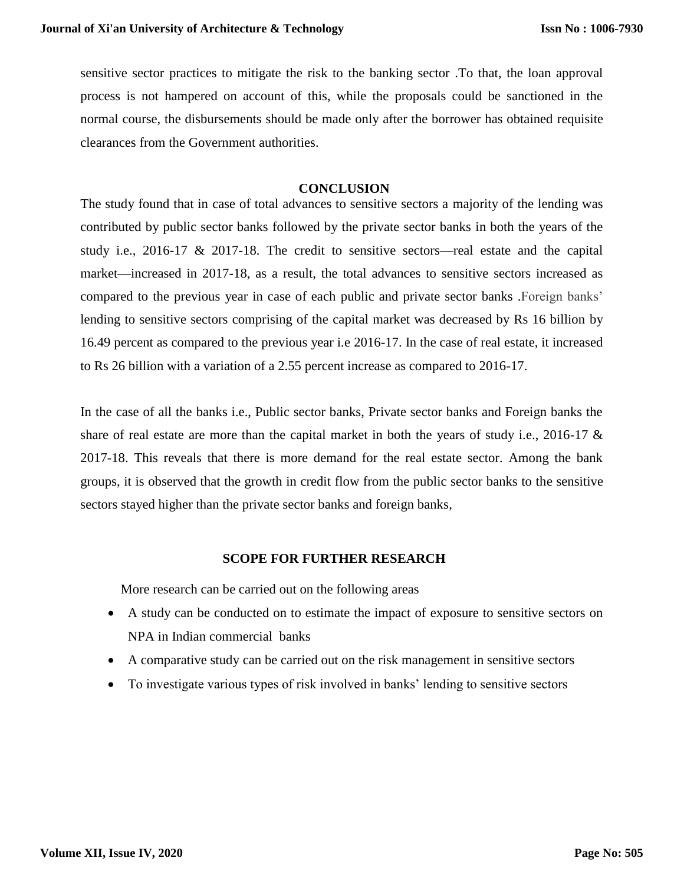sensitive sector practices to mitigate the risk to the banking sector .To that, the loan approval process is not hampered on account of this, while the proposals could be sanctioned in the normal course, the disbursements should be made only after the borrower has obtained requisite clearances from the Government authorities.

#### **CONCLUSION**

The study found that in case of total advances to sensitive sectors a majority of the lending was contributed by public sector banks followed by the private sector banks in both the years of the study i.e., 2016-17 & 2017-18. The credit to sensitive sectors—real estate and the capital market—increased in 2017-18, as a result, the total advances to sensitive sectors increased as compared to the previous year in case of each public and private sector banks .Foreign banks' lending to sensitive sectors comprising of the capital market was decreased by Rs 16 billion by 16.49 percent as compared to the previous year i.e 2016-17. In the case of real estate, it increased to Rs 26 billion with a variation of a 2.55 percent increase as compared to 2016-17.

In the case of all the banks i.e., Public sector banks, Private sector banks and Foreign banks the share of real estate are more than the capital market in both the years of study i.e., 2016-17  $\&$ 2017-18. This reveals that there is more demand for the real estate sector. Among the bank groups, it is observed that the growth in credit flow from the public sector banks to the sensitive sectors stayed higher than the private sector banks and foreign banks,

## **SCOPE FOR FURTHER RESEARCH**

More research can be carried out on the following areas

- A study can be conducted on to estimate the impact of exposure to sensitive sectors on NPA in Indian commercial banks
- A comparative study can be carried out on the risk management in sensitive sectors
- To investigate various types of risk involved in banks' lending to sensitive sectors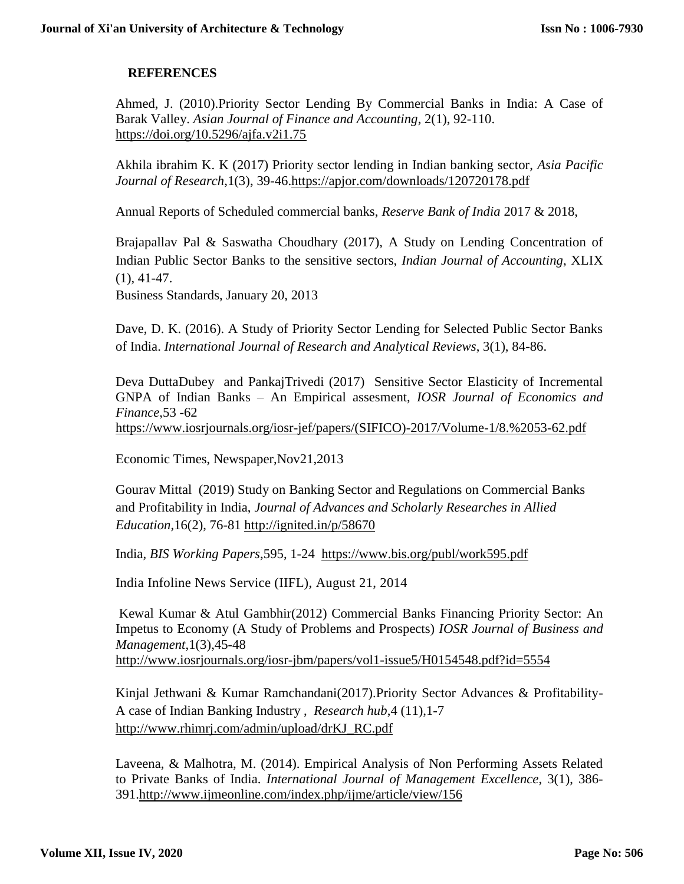## **REFERENCES**

Ahmed, J. (2010).Priority Sector Lending By Commercial Banks in India: A Case of Barak Valley. *Asian Journal of Finance and Accounting*, 2(1), 92-110. <https://doi.org/10.5296/ajfa.v2i1.75>

Akhila ibrahim K. K (2017) Priority sector lending in Indian banking sector, *Asia Pacific Journal of Research*,1(3), 39-46[.https://apjor.com/downloads/120720178.pdf](https://apjor.com/downloads/120720178.pdf)

Annual Reports of Scheduled commercial banks, *Reserve Bank of India* 2017 & 2018,

Brajapallav Pal & Saswatha Choudhary (2017), A Study on Lending Concentration of Indian Public Sector Banks to the sensitive sectors, *Indian Journal of Accounting*, XLIX (1), 41-47.

Business Standards, January 20, 2013

Dave, D. K. (2016). A Study of Priority Sector Lending for Selected Public Sector Banks of India. *International Journal of Research and Analytical Reviews*, 3(1), 84-86.

Deva DuttaDubey and PankajTrivedi (2017) Sensitive Sector Elasticity of Incremental GNPA of Indian Banks – An Empirical assesment, *IOSR Journal of Economics and Finance*,53 -62 [https://www.iosrjournals.org/iosr-jef/papers/\(SIFICO\)-2017/Volume-1/8.%2053-62.pdf](https://www.iosrjournals.org/iosr-jef/papers/(SIFICO)-2017/Volume-1/8.%2053-62.pdf)

Economic Times, Newspaper,Nov21,2013

Gourav Mittal (2019) Study on Banking Sector and Regulations on Commercial Banks and Profitability in India, *Journal of Advances and Scholarly Researches in Allied Education,*16(2), 76-81<http://ignited.in/p/58670>

India, *BIS Working Papers*,595, 1-24 <https://www.bis.org/publ/work595.pdf>

India Infoline News Service (IIFL), August 21, 2014

Kewal Kumar & Atul Gambhir(2012) Commercial Banks Financing Priority Sector: An Impetus to Economy (A Study of Problems and Prospects) *IOSR Journal of Business and Management*,1(3),45-48 <http://www.iosrjournals.org/iosr-jbm/papers/vol1-issue5/H0154548.pdf?id=5554>

Kinjal Jethwani & Kumar Ramchandani(2017).Priority Sector Advances & Profitability-A case of Indian Banking Industry , *Research hub*,4 (11),1-7 [http://www.rhimrj.com/admin/upload/drKJ\\_RC.pdf](http://www.rhimrj.com/admin/upload/drKJ_RC.pdf)

Laveena, & Malhotra, M. (2014). Empirical Analysis of Non Performing Assets Related to Private Banks of India. *International Journal of Management Excellence*, 3(1), 386- 391[.http://www.ijmeonline.com/index.php/ijme/article/view/156](http://www.ijmeonline.com/index.php/ijme/article/view/156)